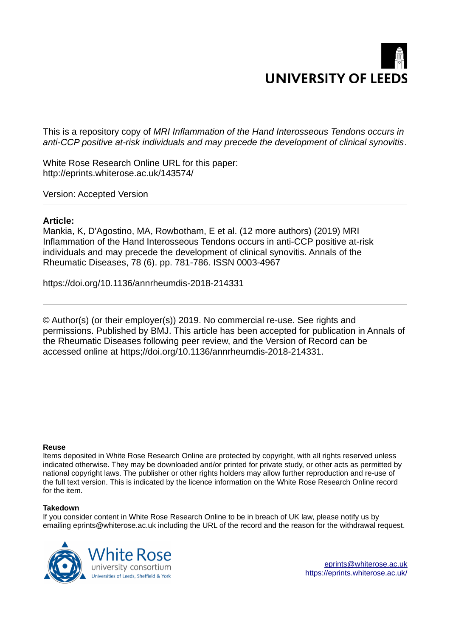# **UNIVERSITY OF LEEDS**

This is a repository copy of *MRI Inflammation of the Hand Interosseous Tendons occurs in anti-CCP positive at-risk individuals and may precede the development of clinical synovitis*.

White Rose Research Online URL for this paper: http://eprints.whiterose.ac.uk/143574/

Version: Accepted Version

# **Article:**

Mankia, K, D'Agostino, MA, Rowbotham, E et al. (12 more authors) (2019) MRI Inflammation of the Hand Interosseous Tendons occurs in anti-CCP positive at-risk individuals and may precede the development of clinical synovitis. Annals of the Rheumatic Diseases, 78 (6). pp. 781-786. ISSN 0003-4967

https://doi.org/10.1136/annrheumdis-2018-214331

© Author(s) (or their employer(s)) 2019. No commercial re-use. See rights and permissions. Published by BMJ. This article has been accepted for publication in Annals of the Rheumatic Diseases following peer review, and the Version of Record can be accessed online at https;//doi.org/10.1136/annrheumdis-2018-214331.

#### **Reuse**

Items deposited in White Rose Research Online are protected by copyright, with all rights reserved unless indicated otherwise. They may be downloaded and/or printed for private study, or other acts as permitted by national copyright laws. The publisher or other rights holders may allow further reproduction and re-use of the full text version. This is indicated by the licence information on the White Rose Research Online record for the item.

#### **Takedown**

If you consider content in White Rose Research Online to be in breach of UK law, please notify us by emailing eprints@whiterose.ac.uk including the URL of the record and the reason for the withdrawal request.



[eprints@whiterose.ac.uk](mailto:eprints@whiterose.ac.uk) <https://eprints.whiterose.ac.uk/>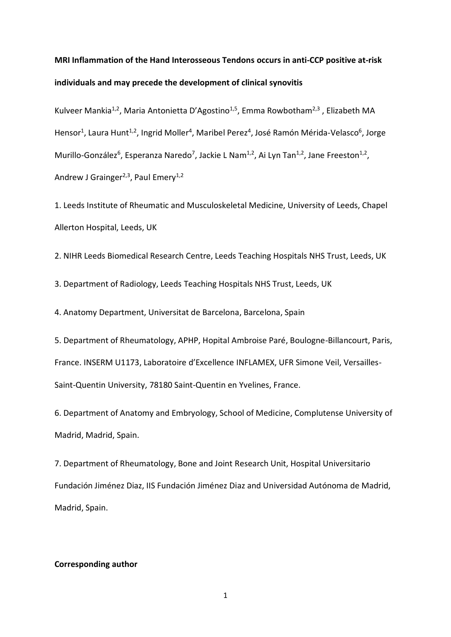# **MRI Inflammation of the Hand Interosseous Tendons occurs in anti-CCP positive at-risk individuals and may precede the development of clinical synovitis**

Kulveer Mankia<sup>1,2</sup>, Maria Antonietta D'Agostino<sup>1,5</sup>, Emma Rowbotham<sup>2,3</sup>, Elizabeth MA Hensor<sup>1</sup>, Laura Hunt<sup>1,2</sup>, Ingrid Moller<sup>4</sup>, Maribel Perez<sup>4</sup>, José Ramón Mérida-Velasco<sup>6</sup>, Jorge Murillo-González<sup>6</sup>, Esperanza Naredo<sup>7</sup>, Jackie L Nam<sup>1,2</sup>, Ai Lyn Tan<sup>1,2</sup>, Jane Freeston<sup>1,2</sup>, Andrew J Grainger<sup>2,3</sup>, Paul Emery<sup>1,2</sup>

1. Leeds Institute of Rheumatic and Musculoskeletal Medicine, University of Leeds, Chapel Allerton Hospital, Leeds, UK

2. NIHR Leeds Biomedical Research Centre, Leeds Teaching Hospitals NHS Trust, Leeds, UK

3. Department of Radiology, Leeds Teaching Hospitals NHS Trust, Leeds, UK

4. Anatomy Department, Universitat de Barcelona, Barcelona, Spain

5. Department of Rheumatology, APHP, Hopital Ambroise ParÈ, Boulogne-Billancourt, Paris, France. INSERM U1173, Laboratoire d'Excellence INFLAMEX, UFR Simone Veil, Versailles-Saint-Quentin University, 78180 Saint-Quentin en Yvelines, France.

6. Department of Anatomy and Embryology, School of Medicine, Complutense University of Madrid, Madrid, Spain.

7. Department of Rheumatology, Bone and Joint Research Unit, Hospital Universitario Fundación Jiménez Diaz, IIS Fundación Jiménez Diaz and Universidad Autónoma de Madrid, Madrid, Spain.

#### **Corresponding author**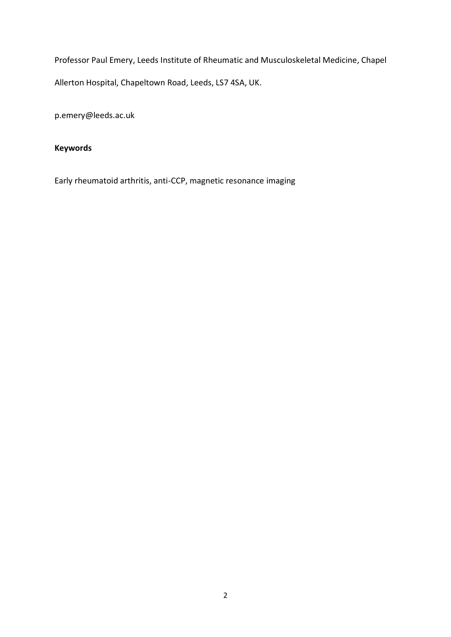Professor Paul Emery, Leeds Institute of Rheumatic and Musculoskeletal Medicine, Chapel Allerton Hospital, Chapeltown Road, Leeds, LS7 4SA, UK.

p.emery@leeds.ac.uk

# **Keywords**

Early rheumatoid arthritis, anti-CCP, magnetic resonance imaging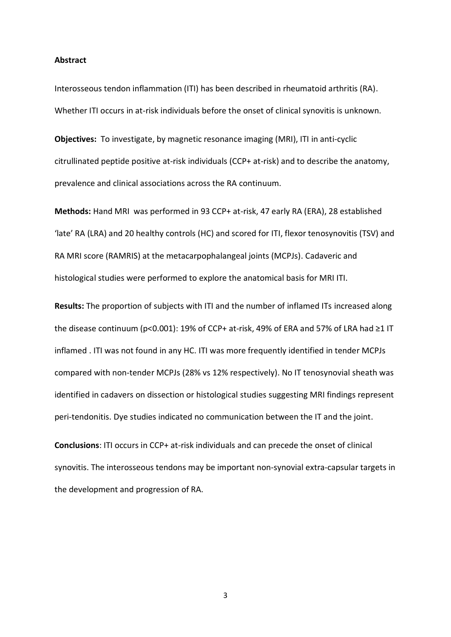#### **Abstract**

Interosseous tendon inflammation (ITI) has been described in rheumatoid arthritis (RA). Whether ITI occurs in at-risk individuals before the onset of clinical synovitis is unknown.

**Objectives:** To investigate, by magnetic resonance imaging (MRI), ITI in anti-cyclic citrullinated peptide positive at-risk individuals (CCP+ at-risk) and to describe the anatomy, prevalence and clinical associations across the RA continuum.

**Methods:** Hand MRI was performed in 93 CCP+ at-risk, 47 early RA (ERA), 28 established 'late' RA (LRA) and 20 healthy controls (HC) and scored for ITI, flexor tenosynovitis (TSV) and RA MRI score (RAMRIS) at the metacarpophalangeal joints (MCPJs). Cadaveric and histological studies were performed to explore the anatomical basis for MRI ITI.

**Results:** The proportion of subjects with ITI and the number of inflamed ITs increased along the disease continuum (p<0.001): 19% of CCP+ at-risk, 49% of ERA and 57% of LRA had  $\geq$ 1 IT inflamed . ITI was not found in any HC. ITI was more frequently identified in tender MCPJs compared with non-tender MCPJs (28% vs 12% respectively). No IT tenosynovial sheath was identified in cadavers on dissection or histological studies suggesting MRI findings represent peri-tendonitis. Dye studies indicated no communication between the IT and the joint.

**Conclusions**: ITI occurs in CCP+ at-risk individuals and can precede the onset of clinical synovitis. The interosseous tendons may be important non-synovial extra-capsular targets in the development and progression of RA.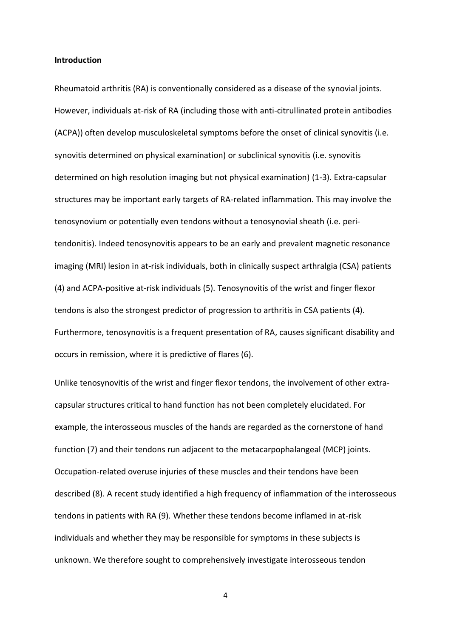#### **Introduction**

Rheumatoid arthritis (RA) is conventionally considered as a disease of the synovial joints. However, individuals at-risk of RA (including those with anti-citrullinated protein antibodies (ACPA)) often develop musculoskeletal symptoms before the onset of clinical synovitis (i.e. synovitis determined on physical examination) or subclinical synovitis (i.e. synovitis determined on high resolution imaging but not physical examination) (1-3). Extra-capsular structures may be important early targets of RA-related inflammation. This may involve the tenosynovium or potentially even tendons without a tenosynovial sheath (i.e. peritendonitis). Indeed tenosynovitis appears to be an early and prevalent magnetic resonance imaging (MRI) lesion in at-risk individuals, both in clinically suspect arthralgia (CSA) patients (4) and ACPA-positive at-risk individuals (5). Tenosynovitis of the wrist and finger flexor tendons is also the strongest predictor of progression to arthritis in CSA patients (4). Furthermore, tenosynovitis is a frequent presentation of RA, causes significant disability and occurs in remission, where it is predictive of flares (6).

Unlike tenosynovitis of the wrist and finger flexor tendons, the involvement of other extracapsular structures critical to hand function has not been completely elucidated. For example, the interosseous muscles of the hands are regarded as the cornerstone of hand function (7) and their tendons run adjacent to the metacarpophalangeal (MCP) joints. Occupation-related overuse injuries of these muscles and their tendons have been described (8). A recent study identified a high frequency of inflammation of the interosseous tendons in patients with RA (9). Whether these tendons become inflamed in at-risk individuals and whether they may be responsible for symptoms in these subjects is unknown. We therefore sought to comprehensively investigate interosseous tendon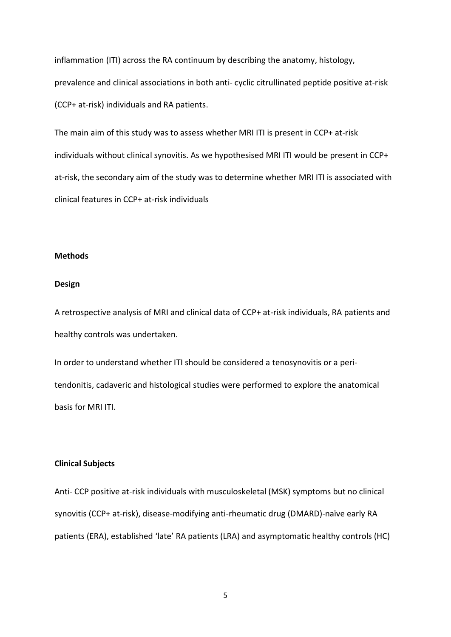inflammation (ITI) across the RA continuum by describing the anatomy, histology, prevalence and clinical associations in both anti- cyclic citrullinated peptide positive at-risk (CCP+ at-risk) individuals and RA patients.

The main aim of this study was to assess whether MRI ITI is present in CCP+ at-risk individuals without clinical synovitis. As we hypothesised MRI ITI would be present in CCP+ at-risk, the secondary aim of the study was to determine whether MRI ITI is associated with clinical features in CCP+ at-risk individuals

#### **Methods**

#### **Design**

A retrospective analysis of MRI and clinical data of CCP+ at-risk individuals, RA patients and healthy controls was undertaken.

In order to understand whether ITI should be considered a tenosynovitis or a peritendonitis, cadaveric and histological studies were performed to explore the anatomical basis for MRI ITI.

#### **Clinical Subjects**

Anti- CCP positive at-risk individuals with musculoskeletal (MSK) symptoms but no clinical synovitis (CCP+ at-risk), disease-modifying anti-rheumatic drug (DMARD)-naïve early RA patients (ERA), established 'late' RA patients (LRA) and asymptomatic healthy controls (HC)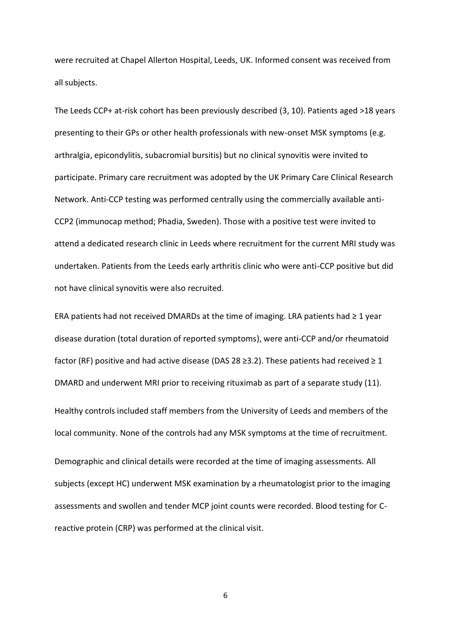were recruited at Chapel Allerton Hospital, Leeds, UK. Informed consent was received from all subjects.

The Leeds CCP+ at-risk cohort has been previously described (3, 10). Patients aged >18 years presenting to their GPs or other health professionals with new-onset MSK symptoms (e.g. arthralgia, epicondylitis, subacromial bursitis) but no clinical synovitis were invited to participate. Primary care recruitment was adopted by the UK Primary Care Clinical Research Network. Anti-CCP testing was performed centrally using the commercially available anti-CCP2 (immunocap method; Phadia, Sweden). Those with a positive test were invited to attend a dedicated research clinic in Leeds where recruitment for the current MRI study was undertaken. Patients from the Leeds early arthritis clinic who were anti-CCP positive but did not have clinical synovitis were also recruited.

ERA patients had not received DMARDs at the time of imaging. LRA patients had  $\geq 1$  year disease duration (total duration of reported symptoms), were anti-CCP and/or rheumatoid factor (RF) positive and had active disease (DAS 28  $\geq$ 3.2). These patients had received  $\geq$  1 DMARD and underwent MRI prior to receiving rituximab as part of a separate study (11). Healthy controls included staff members from the University of Leeds and members of the local community. None of the controls had any MSK symptoms at the time of recruitment. Demographic and clinical details were recorded at the time of imaging assessments. All subjects (except HC) underwent MSK examination by a rheumatologist prior to the imaging assessments and swollen and tender MCP joint counts were recorded. Blood testing for Creactive protein (CRP) was performed at the clinical visit.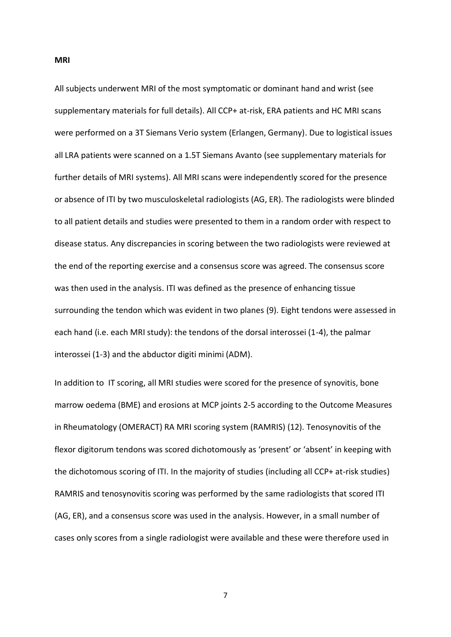**MRI** 

All subjects underwent MRI of the most symptomatic or dominant hand and wrist (see supplementary materials for full details). All CCP+ at-risk, ERA patients and HC MRI scans were performed on a 3T Siemans Verio system (Erlangen, Germany). Due to logistical issues all LRA patients were scanned on a 1.5T Siemans Avanto (see supplementary materials for further details of MRI systems). All MRI scans were independently scored for the presence or absence of ITI by two musculoskeletal radiologists (AG, ER). The radiologists were blinded to all patient details and studies were presented to them in a random order with respect to disease status. Any discrepancies in scoring between the two radiologists were reviewed at the end of the reporting exercise and a consensus score was agreed. The consensus score was then used in the analysis. ITI was defined as the presence of enhancing tissue surrounding the tendon which was evident in two planes (9). Eight tendons were assessed in each hand (i.e. each MRI study): the tendons of the dorsal interossei (1-4), the palmar interossei (1-3) and the abductor digiti minimi (ADM).

In addition to IT scoring, all MRI studies were scored for the presence of synovitis, bone marrow oedema (BME) and erosions at MCP joints 2-5 according to the Outcome Measures in Rheumatology (OMERACT) RA MRI scoring system (RAMRIS) (12). Tenosynovitis of the flexor digitorum tendons was scored dichotomously as 'present' or 'absent' in keeping with the dichotomous scoring of ITI. In the majority of studies (including all CCP+ at-risk studies) RAMRIS and tenosynovitis scoring was performed by the same radiologists that scored ITI (AG, ER), and a consensus score was used in the analysis. However, in a small number of cases only scores from a single radiologist were available and these were therefore used in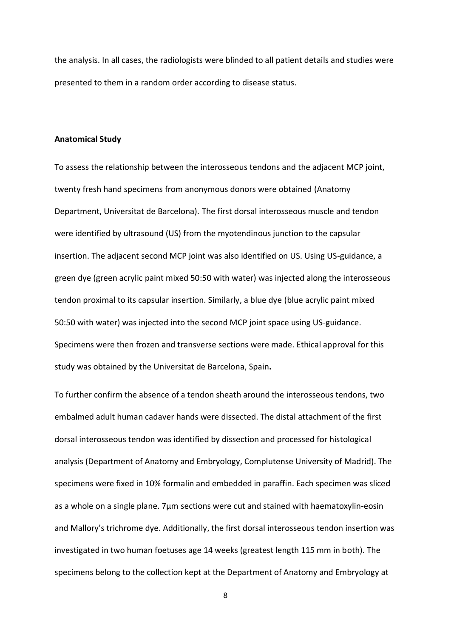the analysis. In all cases, the radiologists were blinded to all patient details and studies were presented to them in a random order according to disease status.

#### **Anatomical Study**

To assess the relationship between the interosseous tendons and the adjacent MCP joint, twenty fresh hand specimens from anonymous donors were obtained (Anatomy Department, Universitat de Barcelona). The first dorsal interosseous muscle and tendon were identified by ultrasound (US) from the myotendinous junction to the capsular insertion. The adjacent second MCP joint was also identified on US. Using US-guidance, a green dye (green acrylic paint mixed 50:50 with water) was injected along the interosseous tendon proximal to its capsular insertion. Similarly, a blue dye (blue acrylic paint mixed 50:50 with water) was injected into the second MCP joint space using US-guidance. Specimens were then frozen and transverse sections were made. Ethical approval for this study was obtained by the Universitat de Barcelona, Spain**.** 

To further confirm the absence of a tendon sheath around the interosseous tendons, two embalmed adult human cadaver hands were dissected. The distal attachment of the first dorsal interosseous tendon was identified by dissection and processed for histological analysis (Department of Anatomy and Embryology, Complutense University of Madrid). The specimens were fixed in 10% formalin and embedded in paraffin. Each specimen was sliced as a whole on a single plane.  $7\mu$ m sections were cut and stained with haematoxylin-eosin and Mallory's trichrome dye. Additionally, the first dorsal interosseous tendon insertion was investigated in two human foetuses age 14 weeks (greatest length 115 mm in both). The specimens belong to the collection kept at the Department of Anatomy and Embryology at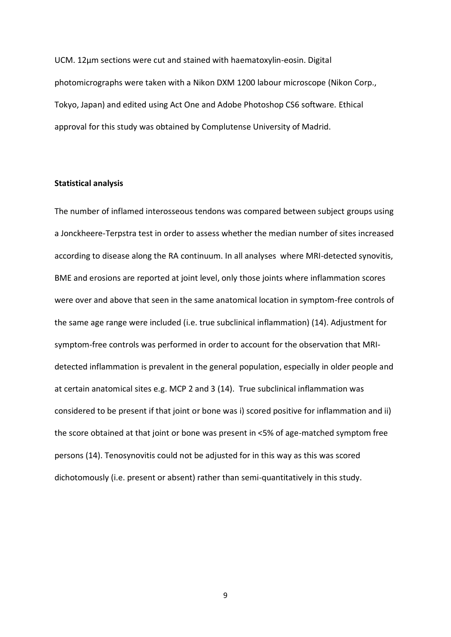UCM. 12µm sections were cut and stained with haematoxylin-eosin. Digital photomicrographs were taken with a Nikon DXM 1200 labour microscope (Nikon Corp., Tokyo, Japan) and edited using Act One and Adobe Photoshop CS6 software. Ethical approval for this study was obtained by Complutense University of Madrid.

#### **Statistical analysis**

The number of inflamed interosseous tendons was compared between subject groups using a Jonckheere-Terpstra test in order to assess whether the median number of sites increased according to disease along the RA continuum. In all analyses where MRI-detected synovitis, BME and erosions are reported at joint level, only those joints where inflammation scores were over and above that seen in the same anatomical location in symptom-free controls of the same age range were included (i.e. true subclinical inflammation) (14). Adjustment for symptom-free controls was performed in order to account for the observation that MRIdetected inflammation is prevalent in the general population, especially in older people and at certain anatomical sites e.g. MCP 2 and 3 (14). True subclinical inflammation was considered to be present if that joint or bone was i) scored positive for inflammation and ii) the score obtained at that joint or bone was present in <5% of age-matched symptom free persons (14). Tenosynovitis could not be adjusted for in this way as this was scored dichotomously (i.e. present or absent) rather than semi-quantitatively in this study.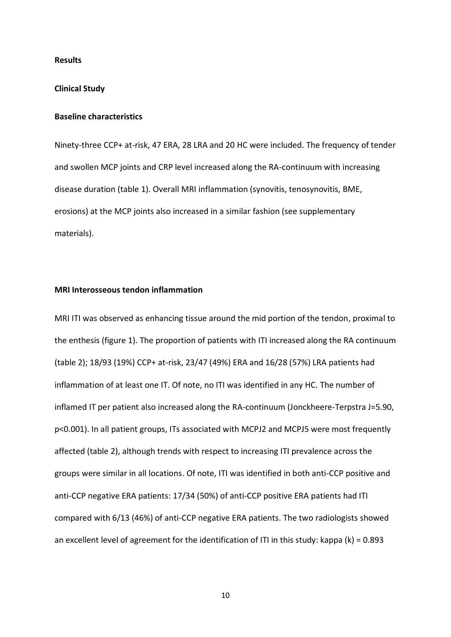#### **Results**

#### **Clinical Study**

#### **Baseline characteristics**

Ninety-three CCP+ at-risk, 47 ERA, 28 LRA and 20 HC were included. The frequency of tender and swollen MCP joints and CRP level increased along the RA-continuum with increasing disease duration (table 1). Overall MRI inflammation (synovitis, tenosynovitis, BME, erosions) at the MCP joints also increased in a similar fashion (see supplementary materials).

#### **MRI Interosseous tendon inflammation**

MRI ITI was observed as enhancing tissue around the mid portion of the tendon, proximal to the enthesis (figure 1). The proportion of patients with ITI increased along the RA continuum (table 2); 18/93 (19%) CCP+ at-risk, 23/47 (49%) ERA and 16/28 (57%) LRA patients had inflammation of at least one IT. Of note, no ITI was identified in any HC. The number of inflamed IT per patient also increased along the RA-continuum (Jonckheere-Terpstra J=5.90, p<0.001). In all patient groups, ITs associated with MCPJ2 and MCPJ5 were most frequently affected (table 2), although trends with respect to increasing ITI prevalence across the groups were similar in all locations. Of note, ITI was identified in both anti-CCP positive and anti-CCP negative ERA patients: 17/34 (50%) of anti-CCP positive ERA patients had ITI compared with 6/13 (46%) of anti-CCP negative ERA patients. The two radiologists showed an excellent level of agreement for the identification of ITI in this study: kappa (k) = 0.893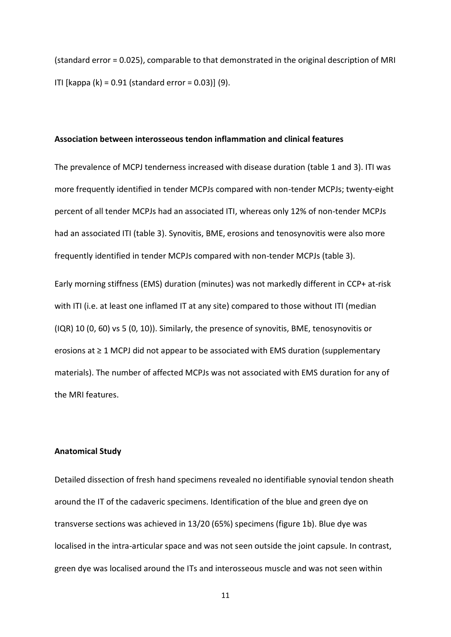(standard error = 0.025), comparable to that demonstrated in the original description of MRI ITI [kappa (k) = 0.91 (standard error = 0.03)] (9).

#### **Association between interosseous tendon inflammation and clinical features**

The prevalence of MCPJ tenderness increased with disease duration (table 1 and 3). ITI was more frequently identified in tender MCPJs compared with non-tender MCPJs; twenty-eight percent of all tender MCPJs had an associated ITI, whereas only 12% of non-tender MCPJs had an associated ITI (table 3). Synovitis, BME, erosions and tenosynovitis were also more frequently identified in tender MCPJs compared with non-tender MCPJs (table 3).

Early morning stiffness (EMS) duration (minutes) was not markedly different in CCP+ at-risk with ITI (i.e. at least one inflamed IT at any site) compared to those without ITI (median (IQR) 10 (0, 60) vs 5 (0, 10)). Similarly, the presence of synovitis, BME, tenosynovitis or erosions at  $\geq 1$  MCPJ did not appear to be associated with EMS duration (supplementary materials). The number of affected MCPJs was not associated with EMS duration for any of the MRI features.

#### **Anatomical Study**

Detailed dissection of fresh hand specimens revealed no identifiable synovial tendon sheath around the IT of the cadaveric specimens. Identification of the blue and green dye on transverse sections was achieved in 13/20 (65%) specimens (figure 1b). Blue dye was localised in the intra-articular space and was not seen outside the joint capsule. In contrast, green dye was localised around the ITs and interosseous muscle and was not seen within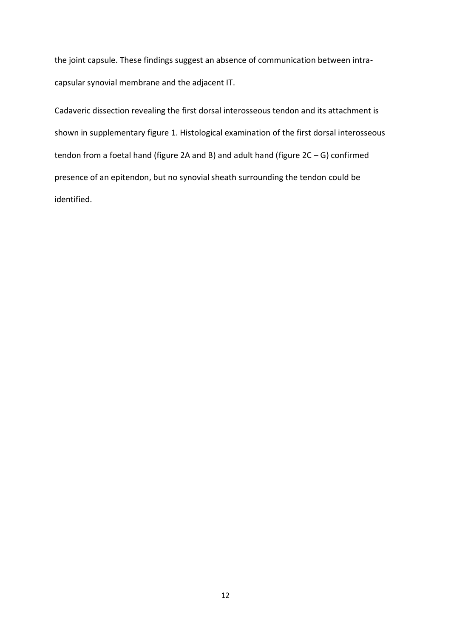the joint capsule. These findings suggest an absence of communication between intracapsular synovial membrane and the adjacent IT.

Cadaveric dissection revealing the first dorsal interosseous tendon and its attachment is shown in supplementary figure 1. Histological examination of the first dorsal interosseous tendon from a foetal hand (figure 2A and B) and adult hand (figure  $2C - G$ ) confirmed presence of an epitendon, but no synovial sheath surrounding the tendon could be identified.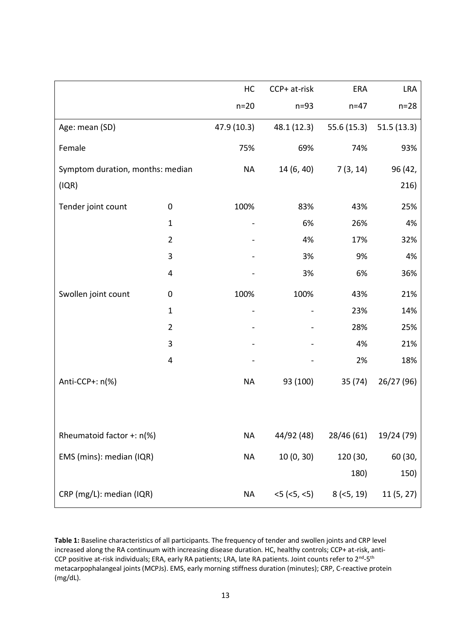|                                  |                | HC          | CCP+ at-risk          | ERA          | <b>LRA</b> |
|----------------------------------|----------------|-------------|-----------------------|--------------|------------|
|                                  |                | $n=20$      | $n=93$                | $n=47$       | $n=28$     |
| Age: mean (SD)                   |                | 47.9 (10.3) | 48.1 (12.3)           | 55.6(15.3)   | 51.5(13.3) |
| Female                           |                | 75%         | 69%                   | 74%          | 93%        |
| Symptom duration, months: median |                | <b>NA</b>   | 14 (6, 40)            | 7(3, 14)     | 96 (42,    |
| (IQR)                            |                |             |                       |              | 216)       |
| Tender joint count               | 0              | 100%        | 83%                   | 43%          | 25%        |
|                                  | $\mathbf{1}$   |             | 6%                    | 26%          | 4%         |
|                                  | $\overline{2}$ |             | 4%                    | 17%          | 32%        |
|                                  | 3              |             | 3%                    | 9%           | 4%         |
|                                  | 4              |             | 3%                    | 6%           | 36%        |
| Swollen joint count              | 0              | 100%        | 100%                  | 43%          | 21%        |
|                                  | $\mathbf 1$    |             |                       | 23%          | 14%        |
|                                  | $\overline{2}$ |             |                       | 28%          | 25%        |
|                                  | 3              |             |                       | 4%           | 21%        |
|                                  | 4              |             |                       | 2%           | 18%        |
| Anti-CCP+: n(%)                  |                | <b>NA</b>   | 93 (100)              | 35 (74)      | 26/27 (96) |
|                                  |                |             |                       |              |            |
| Rheumatoid factor +: n(%)        |                | <b>NA</b>   | 44/92 (48)            | 28/46 (61)   | 19/24 (79) |
| EMS (mins): median (IQR)         |                | <b>NA</b>   | 10(0, 30)             | 120 (30,     | 60 (30,    |
|                                  |                |             |                       | 180)         | 150)       |
| CRP (mg/L): median (IQR)         |                | <b>NA</b>   | $<$ 5 ( $<$ 5, $<$ 5) | $8$ (<5, 19) | 11(5, 27)  |

**Table 1:** Baseline characteristics of all participants. The frequency of tender and swollen joints and CRP level increased along the RA continuum with increasing disease duration. HC, healthy controls; CCP+ at-risk, anti-CCP positive at-risk individuals; ERA, early RA patients; LRA, late RA patients. Joint counts refer to 2<sup>nd</sup>-5<sup>th</sup> metacarpophalangeal joints (MCPJs). EMS, early morning stiffness duration (minutes); CRP, C-reactive protein (mg/dL).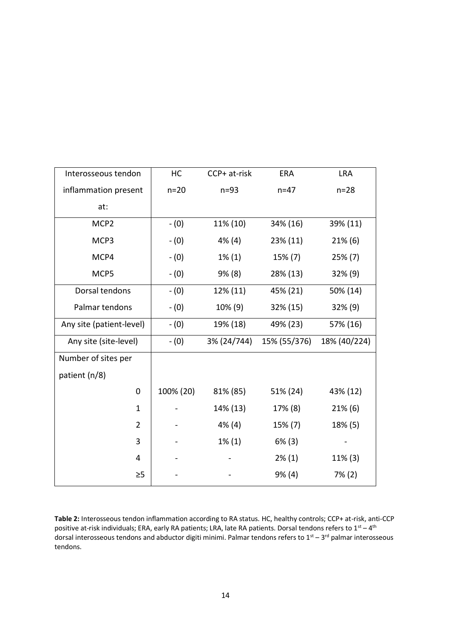| Interosseous tendon      | HC        | CCP+ at-risk | ERA          | <b>LRA</b>   |
|--------------------------|-----------|--------------|--------------|--------------|
| inflammation present     | $n=20$    | $n=93$       | $n = 47$     | $n=28$       |
| at:                      |           |              |              |              |
| MCP <sub>2</sub>         | $- (0)$   | 11% (10)     | 34% (16)     | 39% (11)     |
| MCP3                     | $- (0)$   | $4\%$ (4)    | 23% (11)     | $21\%$ (6)   |
| MCP4                     | $- (0)$   | $1\%$ (1)    | 15% (7)      | $25\% (7)$   |
| MCP5                     | $- (0)$   | 9% (8)       | 28% (13)     | $32\%$ (9)   |
| Dorsal tendons           | $- (0)$   | 12% (11)     | 45% (21)     | 50% (14)     |
| Palmar tendons           | $- (0)$   | 10% (9)      | 32% (15)     | 32% (9)      |
| Any site (patient-level) | $- (0)$   | 19% (18)     | 49% (23)     | 57% (16)     |
| Any site (site-level)    | $- (0)$   | 3% (24/744)  | 15% (55/376) | 18% (40/224) |
| Number of sites per      |           |              |              |              |
| patient (n/8)            |           |              |              |              |
| $\mathbf 0$              | 100% (20) | 81% (85)     | 51% (24)     | 43% (12)     |
| $\mathbf{1}$             |           | 14% (13)     | 17% (8)      | $21\%$ (6)   |
| $\overline{2}$           |           | $4\%$ (4)    | 15% (7)      | 18% (5)      |
| 3                        |           | $1\%$ (1)    | $6\%$ (3)    |              |
| 4                        |           |              | $2\%$ (1)    | 11% (3)      |
| $\geq 5$                 |           |              | 9% (4)       | $7\%$ (2)    |

**Table 2:** Interosseous tendon inflammation according to RA status. HC, healthy controls; CCP+ at-risk, anti-CCP positive at-risk individuals; ERA, early RA patients; LRA, late RA patients. Dorsal tendons refers to  $1^{st} - 4^{th}$ dorsal interosseous tendons and abductor digiti minimi. Palmar tendons refers to  $1^{st}$  – 3<sup>rd</sup> palmar interosseous tendons.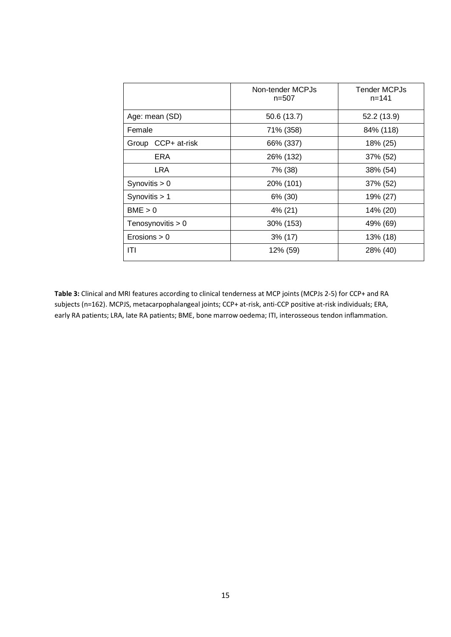|                     | Non-tender MCPJs<br>$n = 507$ | <b>Tender MCPJs</b><br>$n = 141$ |  |
|---------------------|-------------------------------|----------------------------------|--|
| Age: mean (SD)      | 50.6 (13.7)                   | 52.2 (13.9)                      |  |
| Female              | 71% (358)                     | 84% (118)                        |  |
| Group CCP+ at-risk  | 66% (337)                     | 18% (25)                         |  |
| <b>ERA</b>          | 26% (132)                     | 37% (52)                         |  |
| <b>LRA</b>          | 7% (38)                       | 38% (54)                         |  |
| Synovitis $> 0$     | 20% (101)                     | 37% (52)                         |  |
| Synovitis $> 1$     | 6% (30)                       | 19% (27)                         |  |
| BME > 0             | 4% (21)                       | 14% (20)                         |  |
| Tenosynovitis $> 0$ | 30% (153)                     | 49% (69)                         |  |
| Erosions > 0        | $3\%$ (17)                    | 13% (18)                         |  |
| ITI                 | 12% (59)                      | 28% (40)                         |  |

**Table 3:** Clinical and MRI features according to clinical tenderness at MCP joints (MCPJs 2-5) for CCP+ and RA subjects (n=162). MCPJS, metacarpophalangeal joints; CCP+ at-risk, anti-CCP positive at-risk individuals; ERA, early RA patients; LRA, late RA patients; BME, bone marrow oedema; ITI, interosseous tendon inflammation.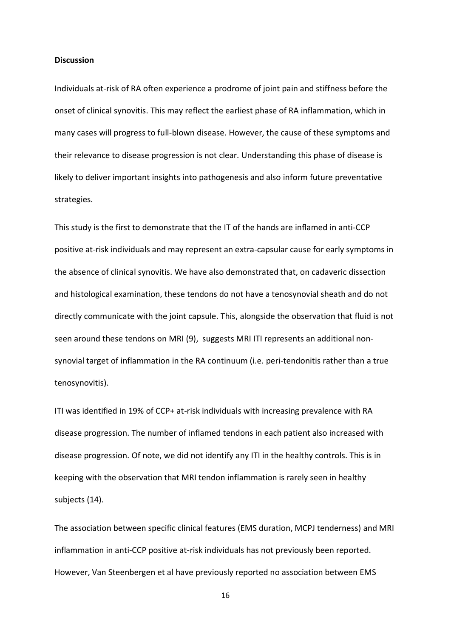#### **Discussion**

Individuals at-risk of RA often experience a prodrome of joint pain and stiffness before the onset of clinical synovitis. This may reflect the earliest phase of RA inflammation, which in many cases will progress to full-blown disease. However, the cause of these symptoms and their relevance to disease progression is not clear. Understanding this phase of disease is likely to deliver important insights into pathogenesis and also inform future preventative strategies.

This study is the first to demonstrate that the IT of the hands are inflamed in anti-CCP positive at-risk individuals and may represent an extra-capsular cause for early symptoms in the absence of clinical synovitis. We have also demonstrated that, on cadaveric dissection and histological examination, these tendons do not have a tenosynovial sheath and do not directly communicate with the joint capsule. This, alongside the observation that fluid is not seen around these tendons on MRI (9), suggests MRI ITI represents an additional nonsynovial target of inflammation in the RA continuum (i.e. peri-tendonitis rather than a true tenosynovitis).

ITI was identified in 19% of CCP+ at-risk individuals with increasing prevalence with RA disease progression. The number of inflamed tendons in each patient also increased with disease progression. Of note, we did not identify any ITI in the healthy controls. This is in keeping with the observation that MRI tendon inflammation is rarely seen in healthy subjects (14).

The association between specific clinical features (EMS duration, MCPJ tenderness) and MRI inflammation in anti-CCP positive at-risk individuals has not previously been reported. However, Van Steenbergen et al have previously reported no association between EMS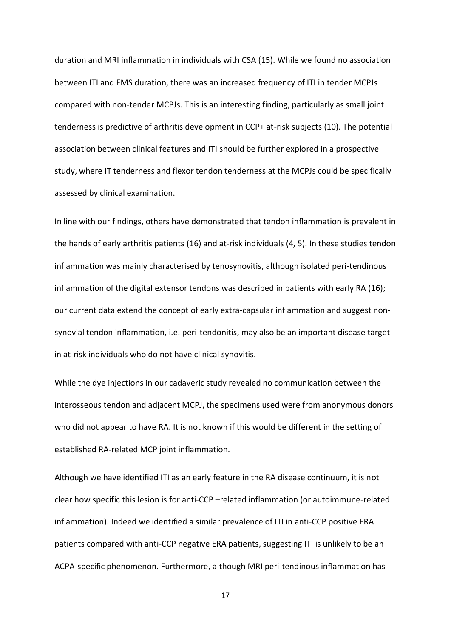duration and MRI inflammation in individuals with CSA (15). While we found no association between ITI and EMS duration, there was an increased frequency of ITI in tender MCPJs compared with non-tender MCPJs. This is an interesting finding, particularly as small joint tenderness is predictive of arthritis development in CCP+ at-risk subjects (10). The potential association between clinical features and ITI should be further explored in a prospective study, where IT tenderness and flexor tendon tenderness at the MCPJs could be specifically assessed by clinical examination.

In line with our findings, others have demonstrated that tendon inflammation is prevalent in the hands of early arthritis patients (16) and at-risk individuals (4, 5). In these studies tendon inflammation was mainly characterised by tenosynovitis, although isolated peri-tendinous inflammation of the digital extensor tendons was described in patients with early RA (16); our current data extend the concept of early extra-capsular inflammation and suggest nonsynovial tendon inflammation, i.e. peri-tendonitis, may also be an important disease target in at-risk individuals who do not have clinical synovitis.

While the dye injections in our cadaveric study revealed no communication between the interosseous tendon and adjacent MCPJ, the specimens used were from anonymous donors who did not appear to have RA. It is not known if this would be different in the setting of established RA-related MCP joint inflammation.

Although we have identified ITI as an early feature in the RA disease continuum, it is not clear how specific this lesion is for anti-CCP -related inflammation (or autoimmune-related inflammation). Indeed we identified a similar prevalence of ITI in anti-CCP positive ERA patients compared with anti-CCP negative ERA patients, suggesting ITI is unlikely to be an ACPA-specific phenomenon. Furthermore, although MRI peri-tendinous inflammation has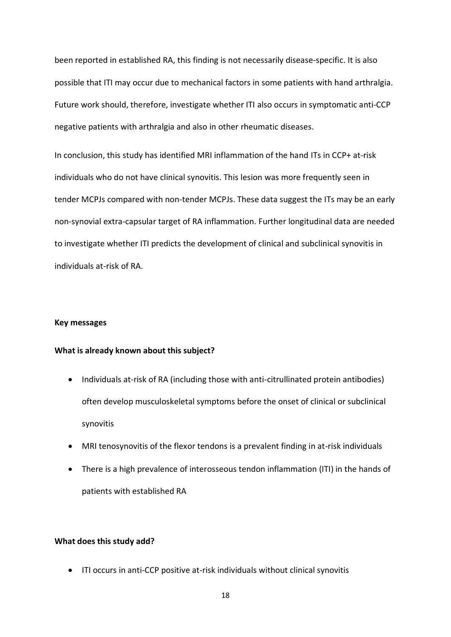been reported in established RA, this finding is not necessarily disease-specific. It is also possible that ITI may occur due to mechanical factors in some patients with hand arthralgia. Future work should, therefore, investigate whether ITI also occurs in symptomatic anti-CCP negative patients with arthralgia and also in other rheumatic diseases.

In conclusion, this study has identified MRI inflammation of the hand ITs in CCP+ at-risk individuals who do not have clinical synovitis. This lesion was more frequently seen in tender MCPJs compared with non-tender MCPJs. These data suggest the ITs may be an early non-synovial extra-capsular target of RA inflammation. Further longitudinal data are needed to investigate whether ITI predicts the development of clinical and subclinical synovitis in individuals at-risk of RA.

#### **Key messages**

#### **What is already known about this subject?**

- Individuals at-risk of RA (including those with anti-citrullinated protein antibodies) often develop musculoskeletal symptoms before the onset of clinical or subclinical synovitis
- MRI tenosynovitis of the flexor tendons is a prevalent finding in at-risk individuals
- There is a high prevalence of interosseous tendon inflammation (ITI) in the hands of patients with established RA

#### **What does this study add?**

ITI occurs in anti-CCP positive at-risk individuals without clinical synovitis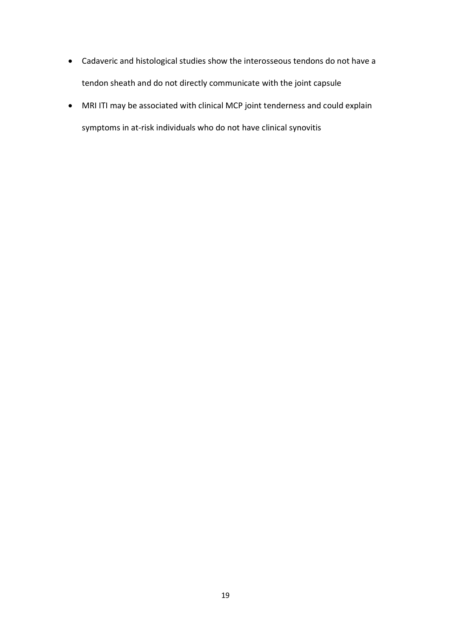- Cadaveric and histological studies show the interosseous tendons do not have a tendon sheath and do not directly communicate with the joint capsule
- MRI ITI may be associated with clinical MCP joint tenderness and could explain symptoms in at-risk individuals who do not have clinical synovitis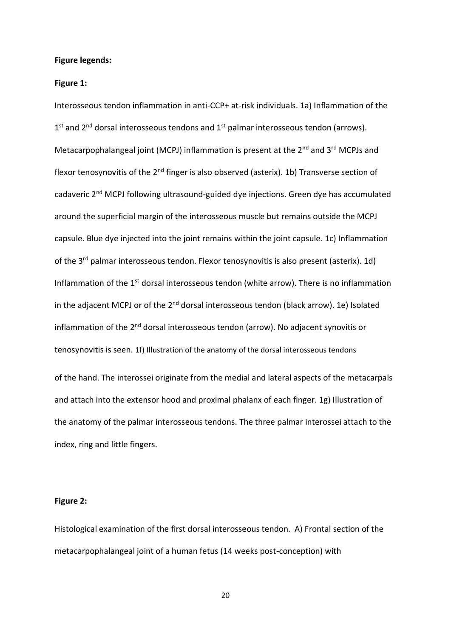#### **Figure legends:**

#### **Figure 1:**

Interosseous tendon inflammation in anti-CCP+ at-risk individuals. 1a) Inflammation of the 1<sup>st</sup> and 2<sup>nd</sup> dorsal interosseous tendons and 1<sup>st</sup> palmar interosseous tendon (arrows). Metacarpophalangeal joint (MCPJ) inflammation is present at the 2<sup>nd</sup> and 3<sup>rd</sup> MCPJs and flexor tenosynovitis of the 2<sup>nd</sup> finger is also observed (asterix). 1b) Transverse section of cadaveric 2nd MCPJ following ultrasound-guided dye injections. Green dye has accumulated around the superficial margin of the interosseous muscle but remains outside the MCPJ capsule. Blue dye injected into the joint remains within the joint capsule. 1c) Inflammation of the  $3^{rd}$  palmar interosseous tendon. Flexor tenosynovitis is also present (asterix). 1d) Inflammation of the  $1<sup>st</sup>$  dorsal interosseous tendon (white arrow). There is no inflammation in the adjacent MCPJ or of the  $2^{nd}$  dorsal interosseous tendon (black arrow). 1e) Isolated inflammation of the 2<sup>nd</sup> dorsal interosseous tendon (arrow). No adjacent synovitis or tenosynovitis is seen. 1f) Illustration of the anatomy of the dorsal interosseous tendons of the hand. The interossei originate from the medial and lateral aspects of the metacarpals and attach into the extensor hood and proximal phalanx of each finger. 1g) Illustration of the anatomy of the palmar interosseous tendons. The three palmar interossei attach to the index, ring and little fingers.

#### **Figure 2:**

Histological examination of the first dorsal interosseous tendon. A) Frontal section of the metacarpophalangeal joint of a human fetus (14 weeks post-conception) with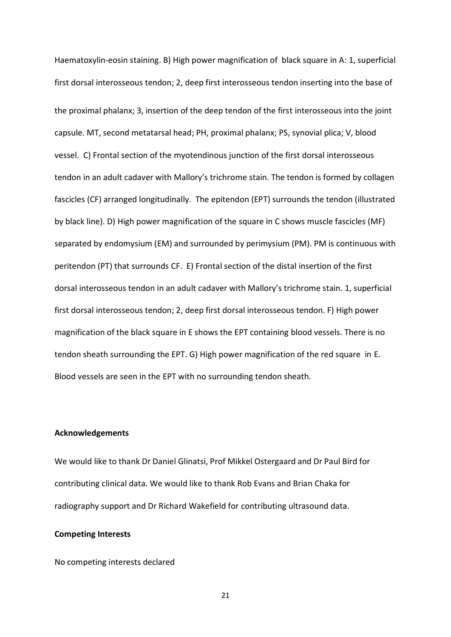Haematoxylin-eosin staining. B) High power magnification of black square in A: 1, superficial first dorsal interosseous tendon; 2, deep first interosseous tendon inserting into the base of the proximal phalanx; 3, insertion of the deep tendon of the first interosseous into the joint capsule. MT, second metatarsal head; PH, proximal phalanx; PS, synovial plica; V, blood vessel. C) Frontal section of the myotendinous junction of the first dorsal interosseous tendon in an adult cadaver with Mallory's trichrome stain. The tendon is formed by collagen fascicles (CF) arranged longitudinally. The epitendon (EPT) surrounds the tendon (illustrated by black line). D) High power magnification of the square in C shows muscle fascicles (MF) separated by endomysium (EM) and surrounded by perimysium (PM). PM is continuous with peritendon (PT) that surrounds CF. E) Frontal section of the distal insertion of the first dorsal interosseous tendon in an adult cadaver with Mallory's trichrome stain. 1, superficial first dorsal interosseous tendon; 2, deep first dorsal interosseous tendon. F) High power magnification of the black square in E shows the EPT containing blood vessels. There is no tendon sheath surrounding the EPT. G) High power magnification of the red square in E. Blood vessels are seen in the EPT with no surrounding tendon sheath.

#### **Acknowledgements**

We would like to thank Dr Daniel Glinatsi, Prof Mikkel Ostergaard and Dr Paul Bird for contributing clinical data. We would like to thank Rob Evans and Brian Chaka for radiography support and Dr Richard Wakefield for contributing ultrasound data.

#### **Competing Interests**

No competing interests declared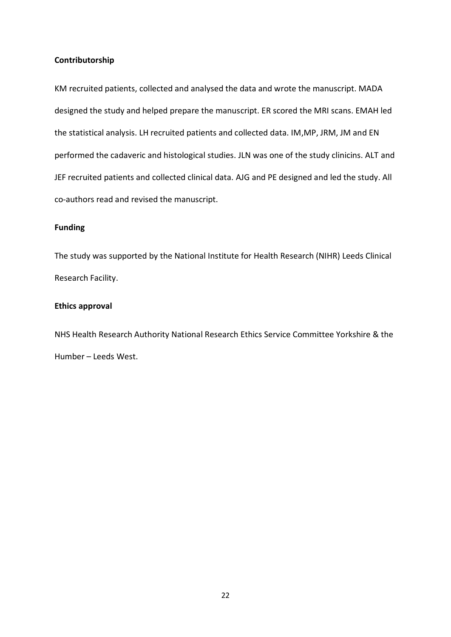#### **Contributorship**

KM recruited patients, collected and analysed the data and wrote the manuscript. MADA designed the study and helped prepare the manuscript. ER scored the MRI scans. EMAH led the statistical analysis. LH recruited patients and collected data. IM,MP, JRM, JM and EN performed the cadaveric and histological studies. JLN was one of the study clinicins. ALT and JEF recruited patients and collected clinical data. AJG and PE designed and led the study. All co-authors read and revised the manuscript.

### **Funding**

The study was supported by the National Institute for Health Research (NIHR) Leeds Clinical Research Facility.

#### **Ethics approval**

NHS Health Research Authority National Research Ethics Service Committee Yorkshire & the Humber - Leeds West.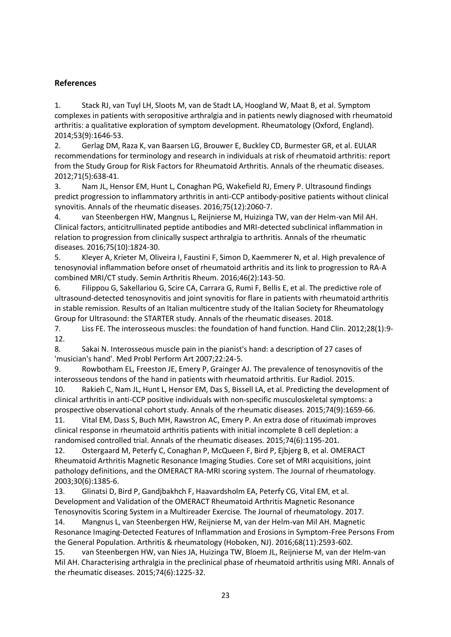# **References**

1. Stack RJ, van Tuyl LH, Sloots M, van de Stadt LA, Hoogland W, Maat B, et al. Symptom complexes in patients with seropositive arthralgia and in patients newly diagnosed with rheumatoid arthritis: a qualitative exploration of symptom development. Rheumatology (Oxford, England). 2014;53(9):1646-53.

2. Gerlag DM, Raza K, van Baarsen LG, Brouwer E, Buckley CD, Burmester GR, et al. EULAR recommendations for terminology and research in individuals at risk of rheumatoid arthritis: report from the Study Group for Risk Factors for Rheumatoid Arthritis. Annals of the rheumatic diseases. 2012;71(5):638-41.

3. Nam JL, Hensor EM, Hunt L, Conaghan PG, Wakefield RJ, Emery P. Ultrasound findings predict progression to inflammatory arthritis in anti-CCP antibody-positive patients without clinical synovitis. Annals of the rheumatic diseases. 2016;75(12):2060-7.

4. van Steenbergen HW, Mangnus L, Reijnierse M, Huizinga TW, van der Helm-van Mil AH. Clinical factors, anticitrullinated peptide antibodies and MRI-detected subclinical inflammation in relation to progression from clinically suspect arthralgia to arthritis. Annals of the rheumatic diseases. 2016;75(10):1824-30.

5. Kleyer A, Krieter M, Oliveira I, Faustini F, Simon D, Kaemmerer N, et al. High prevalence of tenosynovial inflammation before onset of rheumatoid arthritis and its link to progression to RA-A combined MRI/CT study. Semin Arthritis Rheum. 2016;46(2):143-50.

6. Filippou G, Sakellariou G, Scire CA, Carrara G, Rumi F, Bellis E, et al. The predictive role of ultrasound-detected tenosynovitis and joint synovitis for flare in patients with rheumatoid arthritis in stable remission. Results of an Italian multicentre study of the Italian Society for Rheumatology Group for Ultrasound: the STARTER study. Annals of the rheumatic diseases. 2018.

7. Liss FE. The interosseous muscles: the foundation of hand function. Hand Clin. 2012;28(1):9- 12.

8. Sakai N. Interosseous muscle pain in the pianist's hand: a description of 27 cases of 'musician's hand'. Med Probl Perform Art 2007;22:24-5.

9. Rowbotham EL, Freeston JE, Emery P, Grainger AJ. The prevalence of tenosynovitis of the interosseous tendons of the hand in patients with rheumatoid arthritis. Eur Radiol. 2015.

10. Rakieh C, Nam JL, Hunt L, Hensor EM, Das S, Bissell LA, et al. Predicting the development of clinical arthritis in anti-CCP positive individuals with non-specific musculoskeletal symptoms: a prospective observational cohort study. Annals of the rheumatic diseases. 2015;74(9):1659-66.

11. Vital EM, Dass S, Buch MH, Rawstron AC, Emery P. An extra dose of rituximab improves clinical response in rheumatoid arthritis patients with initial incomplete B cell depletion: a randomised controlled trial. Annals of the rheumatic diseases. 2015;74(6):1195-201.

12. Ostergaard M, Peterfy C, Conaghan P, McQueen F, Bird P, Ejbjerg B, et al. OMERACT Rheumatoid Arthritis Magnetic Resonance Imaging Studies. Core set of MRI acquisitions, joint pathology definitions, and the OMERACT RA-MRI scoring system. The Journal of rheumatology. 2003;30(6):1385-6.

13. Glinatsi D, Bird P, Gandjbakhch F, Haavardsholm EA, Peterfy CG, Vital EM, et al. Development and Validation of the OMERACT Rheumatoid Arthritis Magnetic Resonance Tenosynovitis Scoring System in a Multireader Exercise. The Journal of rheumatology. 2017.

14. Mangnus L, van Steenbergen HW, Reijnierse M, van der Helm-van Mil AH. Magnetic Resonance Imaging-Detected Features of Inflammation and Erosions in Symptom-Free Persons From the General Population. Arthritis & rheumatology (Hoboken, NJ). 2016;68(11):2593-602.

15. van Steenbergen HW, van Nies JA, Huizinga TW, Bloem JL, Reijnierse M, van der Helm-van Mil AH. Characterising arthralgia in the preclinical phase of rheumatoid arthritis using MRI. Annals of the rheumatic diseases. 2015;74(6):1225-32.